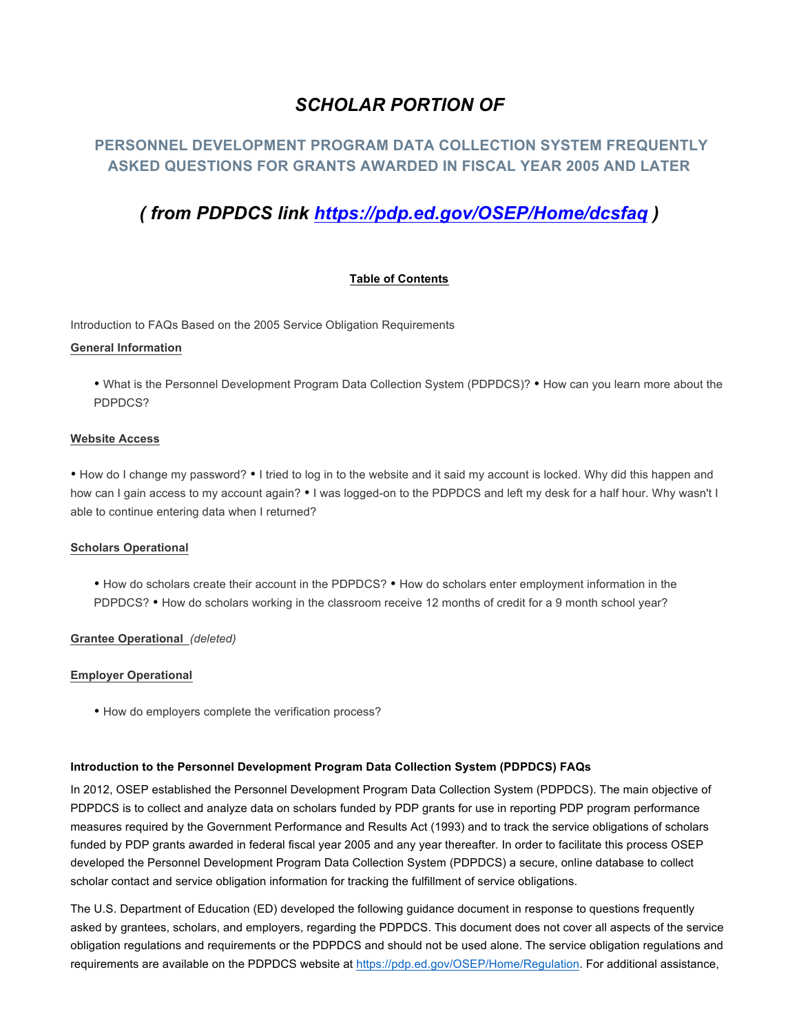# *SCHOLAR PORTION OF*

## **PERSONNEL DEVELOPMENT PROGRAM DATA COLLECTION SYSTEM FREQUENTLY ASKED QUESTIONS FOR GRANTS AWARDED IN FISCAL YEAR 2005 AND LATER**

# *( from PDPDCS link https://pdp.ed.gov/OSEP/Home/dcsfaq )*

## **Table of Contents**

Introduction to FAQs Based on the 2005 Service Obligation Requirements

#### **General Information**

• What is the Personnel Development Program Data Collection System (PDPDCS)? • How can you learn more about the PDPDCS?

#### **Website Access**

• How do I change my password? • I tried to log in to the website and it said my account is locked. Why did this happen and how can I gain access to my account again? • I was logged-on to the PDPDCS and left my desk for a half hour. Why wasn't I able to continue entering data when I returned?

#### **Scholars Operational**

• How do scholars create their account in the PDPDCS? • How do scholars enter employment information in the PDPDCS? • How do scholars working in the classroom receive 12 months of credit for a 9 month school year?

### **Grantee Operational** *(deleted)*

#### **Employer Operational**

• How do employers complete the verification process?

#### **Introduction to the Personnel Development Program Data Collection System (PDPDCS) FAQs**

In 2012, OSEP established the Personnel Development Program Data Collection System (PDPDCS). The main objective of PDPDCS is to collect and analyze data on scholars funded by PDP grants for use in reporting PDP program performance measures required by the Government Performance and Results Act (1993) and to track the service obligations of scholars funded by PDP grants awarded in federal fiscal year 2005 and any year thereafter. In order to facilitate this process OSEP developed the Personnel Development Program Data Collection System (PDPDCS) a secure, online database to collect scholar contact and service obligation information for tracking the fulfillment of service obligations.

The U.S. Department of Education (ED) developed the following guidance document in response to questions frequently asked by grantees, scholars, and employers, regarding the PDPDCS. This document does not cover all aspects of the service obligation regulations and requirements or the PDPDCS and should not be used alone. The service obligation regulations and requirements are available on the PDPDCS website at https://pdp.ed.gov/OSEP/Home/Regulation. For additional assistance,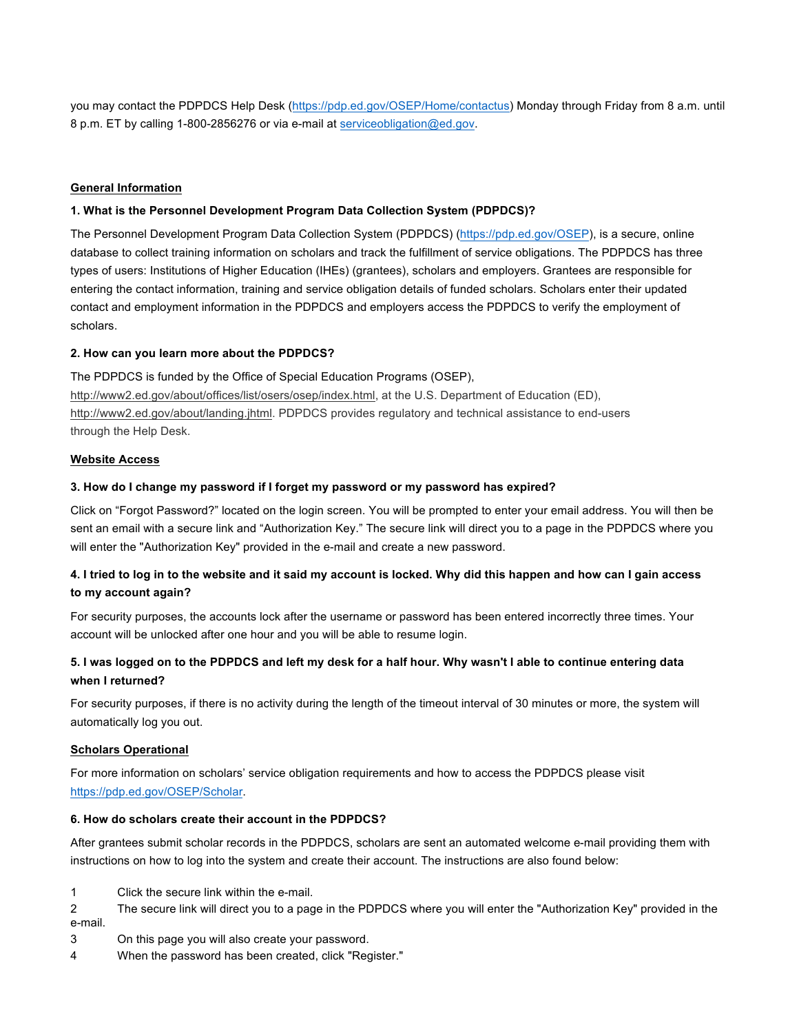you may contact the PDPDCS Help Desk (https://pdp.ed.gov/OSEP/Home/contactus) Monday through Friday from 8 a.m. until 8 p.m. ET by calling 1-800-2856276 or via e-mail at serviceobligation@ed.gov.

#### **General Information**

#### **1. What is the Personnel Development Program Data Collection System (PDPDCS)?**

The Personnel Development Program Data Collection System (PDPDCS) (https://pdp.ed.gov/OSEP), is a secure, online database to collect training information on scholars and track the fulfillment of service obligations. The PDPDCS has three types of users: Institutions of Higher Education (IHEs) (grantees), scholars and employers. Grantees are responsible for entering the contact information, training and service obligation details of funded scholars. Scholars enter their updated contact and employment information in the PDPDCS and employers access the PDPDCS to verify the employment of scholars.

#### **2. How can you learn more about the PDPDCS?**

The PDPDCS is funded by the Office of Special Education Programs (OSEP), http://www2.ed.gov/about/offices/list/osers/osep/index.html, at the U.S. Department of Education (ED), http://www2.ed.gov/about/landing.jhtml. PDPDCS provides regulatory and technical assistance to end-users through the Help Desk.

#### **Website Access**

#### **3. How do I change my password if I forget my password or my password has expired?**

Click on "Forgot Password?" located on the login screen. You will be prompted to enter your email address. You will then be sent an email with a secure link and "Authorization Key." The secure link will direct you to a page in the PDPDCS where you will enter the "Authorization Key" provided in the e-mail and create a new password.

## **4. I tried to log in to the website and it said my account is locked. Why did this happen and how can I gain access to my account again?**

For security purposes, the accounts lock after the username or password has been entered incorrectly three times. Your account will be unlocked after one hour and you will be able to resume login.

## **5. I was logged on to the PDPDCS and left my desk for a half hour. Why wasn't I able to continue entering data when I returned?**

For security purposes, if there is no activity during the length of the timeout interval of 30 minutes or more, the system will automatically log you out.

#### **Scholars Operational**

For more information on scholars' service obligation requirements and how to access the PDPDCS please visit https://pdp.ed.gov/OSEP/Scholar.

#### **6. How do scholars create their account in the PDPDCS?**

After grantees submit scholar records in the PDPDCS, scholars are sent an automated welcome e-mail providing them with instructions on how to log into the system and create their account. The instructions are also found below:

- 1 Click the secure link within the e-mail.
- 2 The secure link will direct you to a page in the PDPDCS where you will enter the "Authorization Key" provided in the e-mail.
- 3 On this page you will also create your password.
- 4 When the password has been created, click "Register."